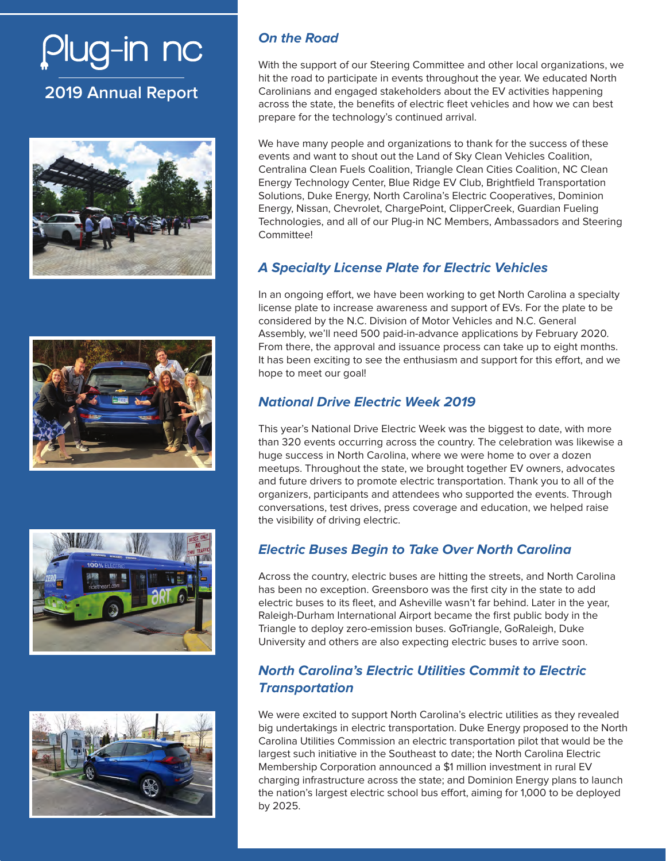# Plug-in nc

## **2019 Annual Report**









## **With the Road** of our Steering Committee and other local organizations,  $\mathbf{C} = \mathbf{C} \mathbf{C} \mathbf{C}$

With the support of our Steering Committee and other local organizations, we hit the road to participate in events throughout the year. We educated North Carolinians and engaged stakeholders about the EV activities happening prepare for the technology's continued arrival. across the state, the benefits of electric fleet vehicles and how we can best

We have many people and organizations to thank for the success of these events and want to shout out the Land of Sky Clean Vehicles Coalition, Centralina Clean Fuels Coalition, Triangle Clean Cities Coalition, NC Clean Energy Technology Center, Blue Ridge EV Club, Brightfield Transportation Solutions, Duke Energy, North Carolina's Electric Cooperatives, Dominion Energy, Nissan, Chevrolet, ChargePoint, ClipperCreek, Guardian Fueling Technologies, and all of our Plug-in NC Members, Ambassadors and Steering Committee!

## **A Specialty License Plate for Electric Vehicles**

In an ongoing effort, we have been working to get North Carolina a specialty license plate to increase awareness and support of EVs. For the plate to be considered by the N.C. Division of Motor Vehicles and N.C. General Assembly, we'll need 500 paid-in-advance applications by February 2020. From there, the approval and issuance process can take up to eight months. It has been exciting to see the enthusiasm and support for this effort, and we hope to meet our goal!

## **National Drive Electric Week 2019**

This year's National Drive Electric Week was the biggest to date, with more than 320 events occurring across the country. The celebration was likewise a huge success in North Carolina, where we were home to over a dozen meetups. Throughout the state, we brought together EV owners, advocates and future drivers to promote electric transportation. Thank you to all of the organizers, participants and attendees who supported the events. Through conversations, test drives, press coverage and education, we helped raise the visibility of driving electric.

## **Electric Buses Begin to Take Over North Carolina**

Across the country, electric buses are hitting the streets, and North Carolina has been no exception. Greensboro was the first city in the state to add electric buses to its fleet, and Asheville wasn't far behind. Later in the year, Raleigh-Durham International Airport became the first public body in the Triangle to deploy zero-emission buses. GoTriangle, GoRaleigh, Duke University and others are also expecting electric buses to arrive soon.

#### **North Carolina's Electric Utilities Commit to Electric Transportation**

We were excited to support North Carolina's electric utilities as they revealed big undertakings in electric transportation. Duke Energy proposed to the North Carolina Utilities Commission an electric transportation pilot that would be the largest such initiative in the Southeast to date; the North Carolina Electric Membership Corporation announced a \$1 million investment in rural EV charging infrastructure across the state; and Dominion Energy plans to launch the nation's largest electric school bus effort, aiming for 1,000 to be deployed by 2025.